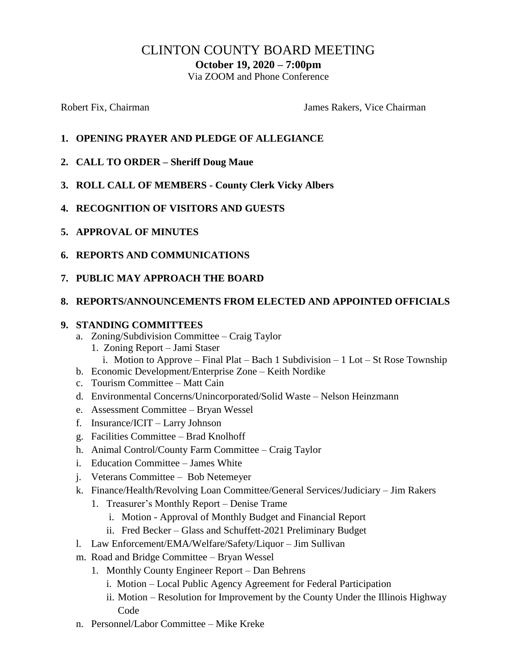# CLINTON COUNTY BOARD MEETING

**October 19, 2020 – 7:00pm**

Via ZOOM and Phone Conference

Robert Fix, Chairman The Chairman James Rakers, Vice Chairman

- **1. OPENING PRAYER AND PLEDGE OF ALLEGIANCE**
- **2. CALL TO ORDER – Sheriff Doug Maue**
- **3. ROLL CALL OF MEMBERS - County Clerk Vicky Albers**
- **4. RECOGNITION OF VISITORS AND GUESTS**
- **5. APPROVAL OF MINUTES**
- **6. REPORTS AND COMMUNICATIONS**
- **7. PUBLIC MAY APPROACH THE BOARD**

#### **8. REPORTS/ANNOUNCEMENTS FROM ELECTED AND APPOINTED OFFICIALS**

#### **9. STANDING COMMITTEES**

- a. Zoning/Subdivision Committee Craig Taylor
	- 1. Zoning Report Jami Staser
- i. Motion to Approve Final Plat Bach 1 Subdivision 1 Lot St Rose Township
- b. Economic Development/Enterprise Zone Keith Nordike
- c. Tourism Committee Matt Cain
- d. Environmental Concerns/Unincorporated/Solid Waste Nelson Heinzmann
- e. Assessment Committee Bryan Wessel
- f. Insurance/ICIT Larry Johnson
- g. Facilities Committee Brad Knolhoff
- h. Animal Control/County Farm Committee Craig Taylor
- i. Education Committee James White
- j. Veterans Committee Bob Netemeyer
- k. Finance/Health/Revolving Loan Committee/General Services/Judiciary Jim Rakers
	- 1. Treasurer's Monthly Report Denise Trame
		- i. Motion Approval of Monthly Budget and Financial Report
		- ii. Fred Becker Glass and Schuffett-2021 Preliminary Budget
- l. Law Enforcement/EMA/Welfare/Safety/Liquor Jim Sullivan
- m. Road and Bridge Committee Bryan Wessel
	- 1. Monthly County Engineer Report Dan Behrens
		- i. Motion Local Public Agency Agreement for Federal Participation
		- ii. Motion Resolution for Improvement by the County Under the Illinois Highway Code
- n. Personnel/Labor Committee Mike Kreke